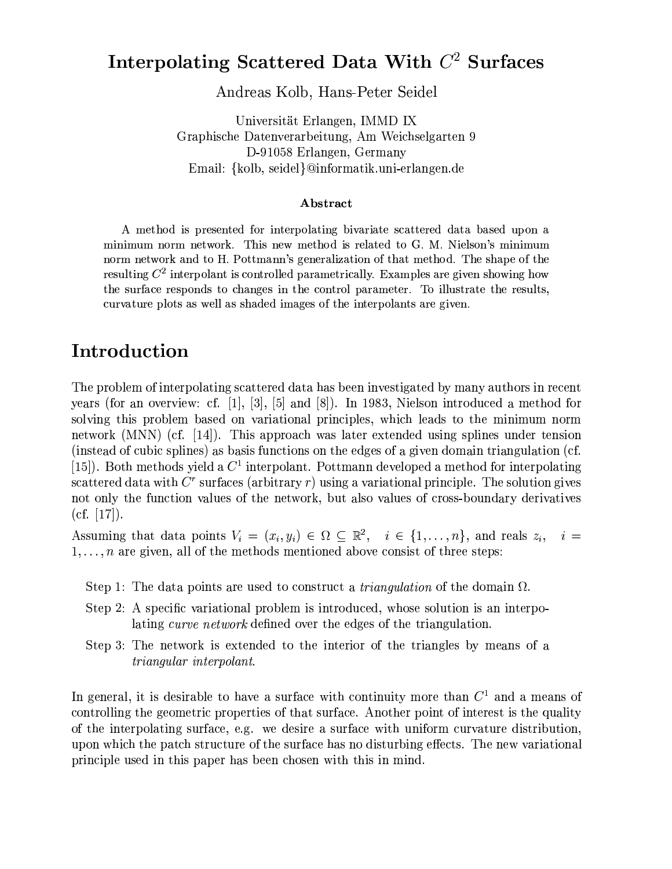## Interpolating Scattered Data With  $C<sup>2</sup>$  Surfaces

Andreas Kolb, Hans-Peter Seidel

Universität Erlangen, IMMD IX Graphische Datenverarbeitung, Am Weichselgarten 9 D-91058 Erlangen, Germany Email: {kolb, seidel}@informatik.uni-erlangen.de

#### Abstract

A method is presented for interpolating bivariate scattered data based upon a minimum norm network. This new method is related to G. M. Nielson's minimum norm network and to H. Pottmann's generalization of that method. The shape of the resulting  $C^2$  interpolant is controlled parametrically. Examples are given showing how the surface responds to changes in the control parameter. To illustrate the results, curvature plots as well as shaded images of the interpolants are given.

#### Introduction

The problem of interpolating scattered data has been investigated by many authors in recent years (for an overview: cf. [1], [3], [5] and [8]). In 1983, Nielson introduced a method for solving this problem based on variational principles, which leads to the minimum norm network (MNN) (cf. [14]). This approach was later extended using splines under tension (instead of cubic splines) as basis functions on the edges of a given domain triangulation (cf. [15]). Both methods yield a  $C^1$  interpolant. Pottmann developed a method for interpolating scattered data with  $C<sup>r</sup>$  surfaces (arbitrary r) using a variational principle. The solution gives not only the function values of the network, but also values of cross-boundary derivatives  $(cf. [17]).$ 

Assuming that data points  $V_i = (x_i, y_i) \in \Omega \subseteq \mathbb{R}^2$ ,  $i \in \{1, ..., n\}$ , and reals  $z_i$ ,  $i =$  $1, \ldots, n$  are given, all of the methods mentioned above consist of three steps:

- Step 1: The data points are used to construct a *triangulation* of the domain  $\Omega$ .
- Step 2: A specific variational problem is introduced, whose solution is an interpolating curve network defined over the edges of the triangulation.
- Step 3: The network is extended to the interior of the triangles by means of a *triangular interpolant.*

In general, it is desirable to have a surface with continuity more than  $C^1$  and a means of controlling the geometric properties of that surface. Another point of interest is the quality of the interpolating surface, e.g. we desire a surface with uniform curvature distribution, upon which the patch structure of the surface has no disturbing effects. The new variational principle used in this paper has been chosen with this in mind.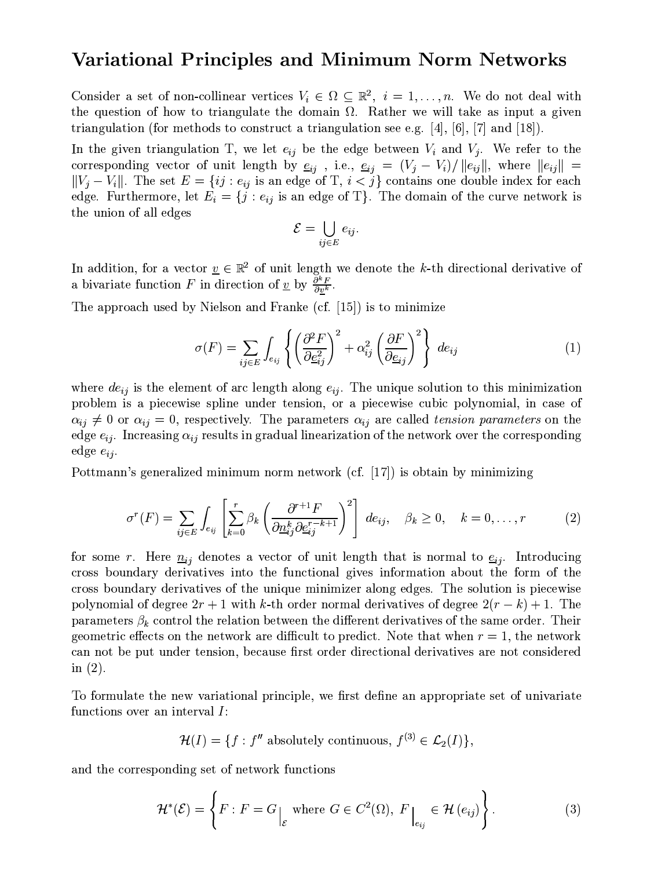#### Variational Principles and Minimum Norm Networks

Consider a set of non-collinear vertices  $V_i \in \Omega \subseteq \mathbb{R}^2$ ,  $i = 1, ..., n$ . We do not deal with the question of how to triangulate the domain  $\Omega$ . Rather we will take as input a given triangulation (for methods to construct a triangulation see e.g. [4], [6], [7] and [18]).

In the given triangulation T, we let  $e_{ij}$  be the edge between  $V_i$  and  $V_j$ . We refer to the corresponding vector of unit length by  $\underline{e}_{ij}$ , i.e.,  $\underline{e}_{ij} = (V_j - V_i)/||e_{ij}||$ , where  $||e_{ij}||$  =  $||V_j - V_i||$ . The set  $E = \{ij : e_{ij} \text{ is an edge of } T, i < j\}$  contains one double index for each edge. Furthermore, let  $E_i = \{j : e_{ij} \text{ is an edge of T}\}\.$  The domain of the curve network is the union of all edges

$$
\mathcal{E} = \bigcup_{ij \in E} e_{ij}.
$$

In addition, for a vector  $\underline{v} \in \mathbb{R}^2$  of unit length we denote the k-th directional derivative of a bivariate function F in direction of  $\underline{v}$  by  $\frac{\partial^k F}{\partial v^k}$ .

The approach used by Nielson and Franke (cf.  $[15]$ ) is to minimize

$$
\sigma(F) = \sum_{ij \in E} \int_{e_{ij}} \left\{ \left( \frac{\partial^2 F}{\partial \underline{e}_{ij}^2} \right)^2 + \alpha_{ij}^2 \left( \frac{\partial F}{\partial \underline{e}_{ij}} \right)^2 \right\} \, de_{ij} \tag{1}
$$

where  $de_{ij}$  is the element of arc length along  $e_{ij}$ . The unique solution to this minimization problem is a piecewise spline under tension, or a piecewise cubic polynomial, in case of  $\alpha_{ij} \neq 0$  or  $\alpha_{ij} = 0$ , respectively. The parameters  $\alpha_{ij}$  are called tension parameters on the edge  $e_{ij}$ . Increasing  $\alpha_{ij}$  results in gradual linearization of the network over the corresponding edge  $e_{ij}$ .

Pottmann's generalized minimum norm network (cf. [17]) is obtain by minimizing

$$
\sigma^{r}(F) = \sum_{ij \in E} \int_{e_{ij}} \left[ \sum_{k=0}^{r} \beta_k \left( \frac{\partial^{r+1} F}{\partial \underline{n}_{ij}^{k} \partial \underline{e}_{ij}^{r-k+1}} \right)^2 \right] \, de_{ij}, \quad \beta_k \ge 0, \quad k = 0, \dots, r \tag{2}
$$

for some r. Here  $\underline{n}_{ij}$  denotes a vector of unit length that is normal to  $\underline{e}_{ij}$ . Introducing cross boundary derivatives into the functional gives information about the form of the cross boundary derivatives of the unique minimizer along edges. The solution is piecewise polynomial of degree  $2r + 1$  with k-th order normal derivatives of degree  $2(r - k) + 1$ . The parameters  $\beta_k$  control the relation between the different derivatives of the same order. Their geometric effects on the network are difficult to predict. Note that when  $r=1$ , the network can not be put under tension, because first order directional derivatives are not considered in  $(2)$ .

To formulate the new variational principle, we first define an appropriate set of univariate functions over an interval I:

$$
\mathcal{H}(I) = \{f : f'' \text{ absolutely continuous, } f^{(3)} \in \mathcal{L}_2(I)\},
$$

and the corresponding set of network functions

$$
\mathcal{H}^*(\mathcal{E}) = \left\{ F : F = G \Big|_{\mathcal{E}} \text{ where } G \in C^2(\Omega), F \Big|_{e_{ij}} \in \mathcal{H}(e_{ij}) \right\}.
$$
 (3)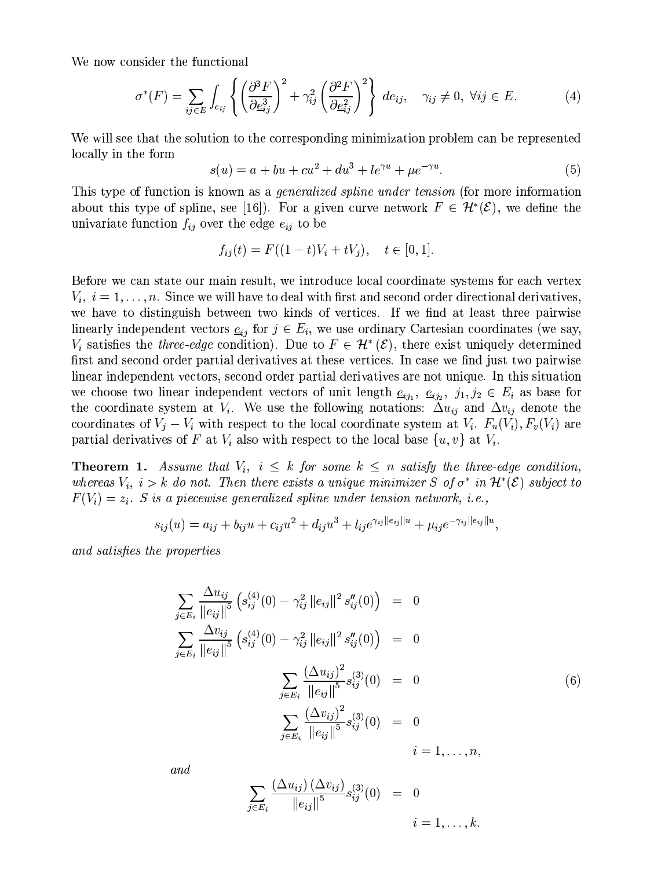We now consider the functional

$$
\sigma^*(F) = \sum_{ij \in E} \int_{e_{ij}} \left\{ \left( \frac{\partial^3 F}{\partial \underline{e}_{ij}^3} \right)^2 + \gamma_{ij}^2 \left( \frac{\partial^2 F}{\partial \underline{e}_{ij}^2} \right)^2 \right\} \, de_{ij}, \quad \gamma_{ij} \neq 0, \ \forall ij \in E. \tag{4}
$$

We will see that the solution to the corresponding minimization problem can be represented locally in the form

$$
s(u) = a + bu + cu^{2} + du^{3} + le^{\gamma u} + \mu e^{-\gamma u}.
$$
 (5)

This type of function is known as a *generalized spline under tension* (for more information about this type of spline, see [16]. For a given curve network  $F \in \mathcal{H}^*(\mathcal{E})$ , we define the univariate function  $f_{ij}$  over the edge  $e_{ij}$  to be

$$
f_{ij}(t) = F((1-t)V_i + tV_j), \quad t \in [0,1]
$$

Before we can state our main result, we introduce local coordinate systems for each vertex  $V_i, i = 1, \ldots, n$ . Since we will have to deal with first and second order directional derivatives, we have to distinguish between two kinds of vertices. If we find at least three pairwise linearly independent vectors  $\underline{e}_{ij}$  for  $j \in E_i$ , we use ordinary Cartesian coordinates (we say,  $V_i$  satisfies the *three-edge* condition). Due to  $F \in \mathcal{H}^*(\mathcal{E})$ , there exist uniquely determined first and second order partial derivatives at these vertices. In case we find just two pairwise linear independent vectors, second order partial derivatives are not unique. In this situation we choose two linear independent vectors of unit length  $\underline{e}_{ij_1}$ ,  $\underline{e}_{ij_2}$ ,  $j_1, j_2 \in E_i$  as base for the coordinate system at  $V_i$ . We use the following notations:  $\Delta u_{ij}$  and  $\Delta v_{ij}$  denote the coordinates of  $V_j - V_i$  with respect to the local coordinate system at  $V_i$ .  $F_u(V_i)$ ,  $F_v(V_i)$  are partial derivatives of F at  $V_i$  also with respect to the local base  $\{u, v\}$  at  $V_i$ .

**Theorem 1.** Assume that  $V_i$ ,  $i \leq k$  for some  $k \leq n$  satisfy the three-edge condition, whereas  $V_i$ ,  $i > k$  do not. Then there exists a unique minimizer S of  $\sigma^*$  in  $\mathcal{H}^*(\mathcal{E})$  subject to  $F(V_i) = z_i$ . S is a piecewise generalized spline under tension network, i.e.,

$$
s_{ij}(u) = a_{ij} + b_{ij}u + c_{ij}u^{2} + d_{ij}u^{3} + l_{ij}e^{\gamma_{ij}||e_{ij}||u} + \mu_{ij}e^{-\gamma_{ij}||e_{ij}||u},
$$

and satisfies the properties

$$
\sum_{j \in E_i} \frac{\Delta u_{ij}}{\|e_{ij}\|^5} \left( s_{ij}^{(4)}(0) - \gamma_{ij}^2 \|e_{ij}\|^2 s_{ij}''(0) \right) = 0
$$
\n
$$
\sum_{j \in E_i} \frac{\Delta v_{ij}}{\|e_{ij}\|^5} \left( s_{ij}^{(4)}(0) - \gamma_{ij}^2 \|e_{ij}\|^2 s_{ij}''(0) \right) = 0
$$
\n
$$
\sum_{j \in E_i} \frac{(\Delta u_{ij})^2}{\|e_{ij}\|^5} s_{ij}^{(3)}(0) = 0
$$
\n
$$
\sum_{j \in E_i} \frac{(\Delta v_{ij})^2}{\|e_{ij}\|^5} s_{ij}^{(3)}(0) = 0
$$
\n
$$
i = 1, ..., n,
$$

 $and$ 

$$
\sum_{j \in E_i} \frac{(\Delta u_{ij}) (\Delta v_{ij})}{\|e_{ij}\|^5} s_{ij}^{(3)}(0) = 0
$$
  
  $i = 1, ..., k.$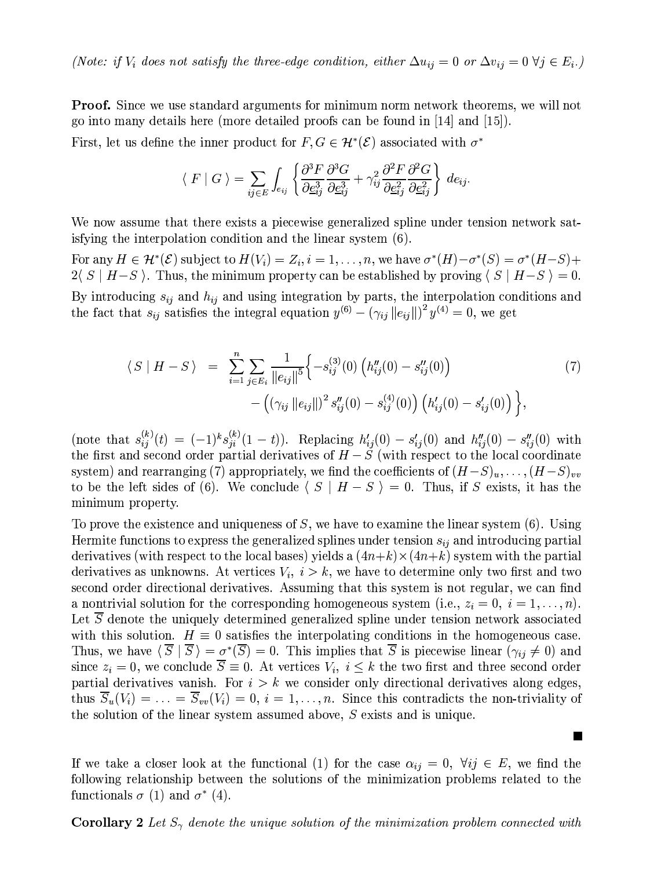(Note: if  $V_i$  does not satisfy the three-edge condition, either  $\Delta u_{ij} = 0$  or  $\Delta v_{ij} = 0 \forall j \in E_i$ .)

**Proof.** Since we use standard arguments for minimum norm network theorems, we will not go into many details here (more detailed proofs can be found in  $[14]$  and  $[15]$ ).

First, let us define the inner product for  $F, G \in \mathcal{H}^*(\mathcal{E})$  associated with  $\sigma^*$ 

$$
\langle F | G \rangle = \sum_{ij \in E} \int_{e_{ij}} \left\{ \frac{\partial^3 F}{\partial \underline{e}_{ij}^3} \frac{\partial^3 G}{\partial \underline{e}_{ij}^3} + \gamma_{ij}^2 \frac{\partial^2 F}{\partial \underline{e}_{ij}^2} \frac{\partial^2 G}{\partial \underline{e}_{ij}^2} \right\} \, de_{ij}.
$$

We now assume that there exists a piecewise generalized spline under tension network satis fying the interpolation condition and the linear system (6).

For any  $H \in \mathcal{H}^*(\mathcal{E})$  subject to  $H(V_i) = Z_i$ ,  $i = 1, ..., n$ , we have  $\sigma^*(H) - \sigma^*(S) = \sigma^*(H-S) + \sigma^*(S)$  $2\langle S \mid H-S \rangle$ . Thus, the minimum property can be established by proving  $\langle S \mid H-S \rangle = 0$ . By introducing  $s_{ij}$  and  $h_{ij}$  and using integration by parts, the interpolation conditions and the fact that  $s_{ij}$  satisfies the integral equation  $y^{(6)} - (\gamma_{ij} ||e_{ij}||)^2 y^{(4)} = 0$ , we get

$$
\langle S | H - S \rangle = \sum_{i=1}^{n} \sum_{j \in E_i} \frac{1}{\|e_{ij}\|^5} \Biggl\{ -s_{ij}^{(3)}(0) \left( h_{ij}''(0) - s_{ij}''(0) \right) - \left( (\gamma_{ij} \|e_{ij}\|)^2 s_{ij}''(0) - s_{ij}^{(4)}(0) \right) \left( h_{ij}'(0) - s_{ij}'(0) \right) \Biggr\},
$$
\n(7)

(note that  $s_{ij}^{(k)}(t) = (-1)^k s_{ji}^{(k)}(1-t)$ ). Replacing  $h'_{ij}(0) - s'_{ij}(0)$  and  $h''_{ij}(0) - s''_{ij}(0)$  with the first and second order partial derivatives of  $H-S$  (with respect to the local coordinate system) and rearranging (7) appropriately, we find the coefficients of  $(H-S)<sub>u</sub>, \ldots, (H-S)<sub>vv</sub>$ to be the left sides of (6). We conclude  $\langle S | H - S \rangle = 0$ . Thus, if S exists, it has the minimum property.

To prove the existence and uniqueness of  $S$ , we have to examine the linear system (6). Using Hermite functions to express the generalized splines under tension  $s_{ij}$  and introducing partial derivatives (with respect to the local bases) yields a  $(4n+k)\times(4n+k)$  system with the partial derivatives as unknowns. At vertices  $V_i$ ,  $i > k$ , we have to determine only two first and two second order directional derivatives. Assuming that this system is not regular, we can find a nontrivial solution for the corresponding homogeneous system (i.e.,  $z_i = 0$ ,  $i = 1, ..., n$ ). Let  $\overline{S}$  denote the uniquely determined generalized spline under tension network associated with this solution.  $H \equiv 0$  satisfies the interpolating conditions in the homogeneous case. Thus, we have  $\langle \overline{S} | \overline{S} \rangle = \sigma^* (\overline{S}) = 0$ . This implies that  $\overline{S}$  is piecewise linear  $(\gamma_{ij} \neq 0)$  and since  $z_i = 0$ , we conclude  $\overline{S} \equiv 0$ . At vertices  $V_i$ ,  $i \leq k$  the two first and three second order partial derivatives vanish. For  $i > k$  we consider only directional derivatives along edges, thus  $\overline{S}_u(V_i) = \ldots = \overline{S}_{vv}(V_i) = 0, i = 1, \ldots, n$ . Since this contradicts the non-triviality of the solution of the linear system assumed above,  $S$  exists and is unique.

If we take a closer look at the functional (1) for the case  $\alpha_{ij} = 0, \forall ij \in E$ , we find the following relationship between the solutions of the minimization problems related to the functionals  $\sigma$  (1) and  $\sigma^*$  (4).

**Corollary 2** Let  $S_{\gamma}$  denote the unique solution of the minimization problem connected with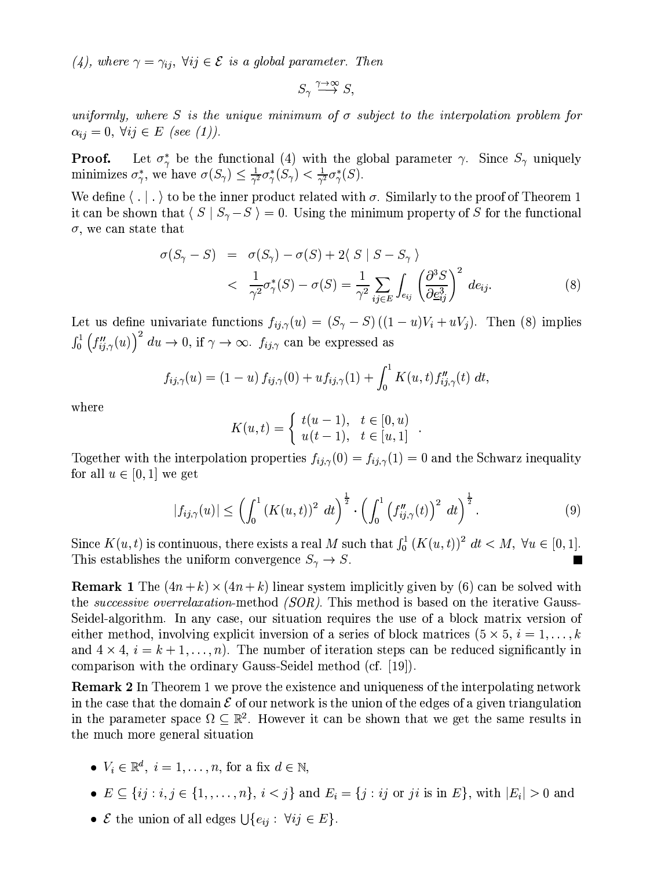(4), where  $\gamma = \gamma_{ij}$ ,  $\forall ij \in \mathcal{E}$  is a global parameter. Then

 $S_{\gamma} \stackrel{\gamma \to \infty}{\longrightarrow} S$ 

uniformly, where S is the unique minimum of  $\sigma$  subject to the interpolation problem for  $\alpha_{ij} = 0, \ \forall ij \in E \ (see \ (1)).$ 

Let  $\sigma^*_{\gamma}$  be the functional (4) with the global parameter  $\gamma$ . Since  $S_{\gamma}$  uniquely Proof. minimizes  $\sigma_{\gamma}^*$ , we have  $\sigma(S_{\gamma}) \leq \frac{1}{\gamma^2} \sigma_{\gamma}^*(S_{\gamma}) < \frac{1}{\gamma^2} \sigma_{\gamma}^*(S)$ .

We define  $\langle . \vert . \rangle$  to be the inner product related with  $\sigma$ . Similarly to the proof of Theorem 1 it can be shown that  $\langle S | S_{\gamma} - S \rangle = 0$ . Using the minimum property of S for the functional  $\sigma$ , we can state that

$$
\sigma(S_{\gamma} - S) = \sigma(S_{\gamma}) - \sigma(S) + 2\langle S | S - S_{\gamma} \rangle
$$
  

$$
< \frac{1}{\gamma^2} \sigma_{\gamma}^*(S) - \sigma(S) = \frac{1}{\gamma^2} \sum_{ij \in E} \int_{e_{ij}} \left(\frac{\partial^3 S}{\partial \underline{e}_{ij}^3}\right)^2 d e_{ij}.
$$
 (8)

Let us define univariate functions  $f_{ij,\gamma}(u) = (S_{\gamma} - S) ((1 - u)V_i + uV_j)$ . Then (8) implies  $\int_0^1 \left(f''_{ij,\gamma}(u)\right)^2 du \to 0$ , if  $\gamma \to \infty$ .  $f_{ij,\gamma}$  can be expressed as

$$
f_{ij,\gamma}(u) = (1-u) f_{ij,\gamma}(0) + u f_{ij,\gamma}(1) + \int_0^1 K(u,t) f''_{ij,\gamma}(t) dt
$$

where

$$
K(u,t) = \begin{cases} t(u-1), & t \in [0, u) \\ u(t-1), & t \in [u, 1] \end{cases}
$$

Together with the interpolation properties  $f_{ij,\gamma}(0) = f_{ij,\gamma}(1) = 0$  and the Schwarz inequality for all  $u \in [0, 1]$  we get

$$
|f_{ij,\gamma}(u)| \leq \left(\int_0^1 (K(u,t))^2 \ dt\right)^{\frac{1}{2}} \cdot \left(\int_0^1 \left(f''_{ij,\gamma}(t)\right)^2 \ dt\right)^{\frac{1}{2}}.
$$
 (9)

Since  $K(u, t)$  is continuous, there exists a real M such that  $\int_0^1 (K(u, t))^2 dt < M$ ,  $\forall u \in [0, 1]$ . This establishes the uniform convergence  $S_{\gamma} \to S$ .

**Remark 1** The  $(4n + k) \times (4n + k)$  linear system implicitly given by (6) can be solved with the *successive overrelaxation*-method *(SOR)*. This method is based on the iterative Gauss-Seidel-algorithm. In any case, our situation requires the use of a block matrix version of either method, involving explicit inversion of a series of block matrices  $(5 \times 5, i = 1, ..., k)$ and  $4 \times 4$ ,  $i = k + 1, \ldots, n$ . The number of iteration steps can be reduced significantly in comparison with the ordinary Gauss-Seidel method (cf. [19]).

**Remark 2** In Theorem 1 we prove the existence and uniqueness of the interpolating network in the case that the domain  $\mathcal E$  of our network is the union of the edges of a given triangulation in the parameter space  $\Omega \subset \mathbb{R}^2$ . However it can be shown that we get the same results in the much more general situation

- $V_i \in \mathbb{R}^d$ ,  $i = 1, \ldots, n$ , for a fix  $d \in \mathbb{N}$ ,
- $E \subseteq \{ij : i, j \in \{1, ..., n\}, i < j\}$  and  $E_i = \{j : ij \text{ or } ji \text{ is in } E\}$ , with  $|E_i| > 0$  and
- *E* the union of all edges  $\bigcup \{e_{ij} : \forall ij \in E\}$ .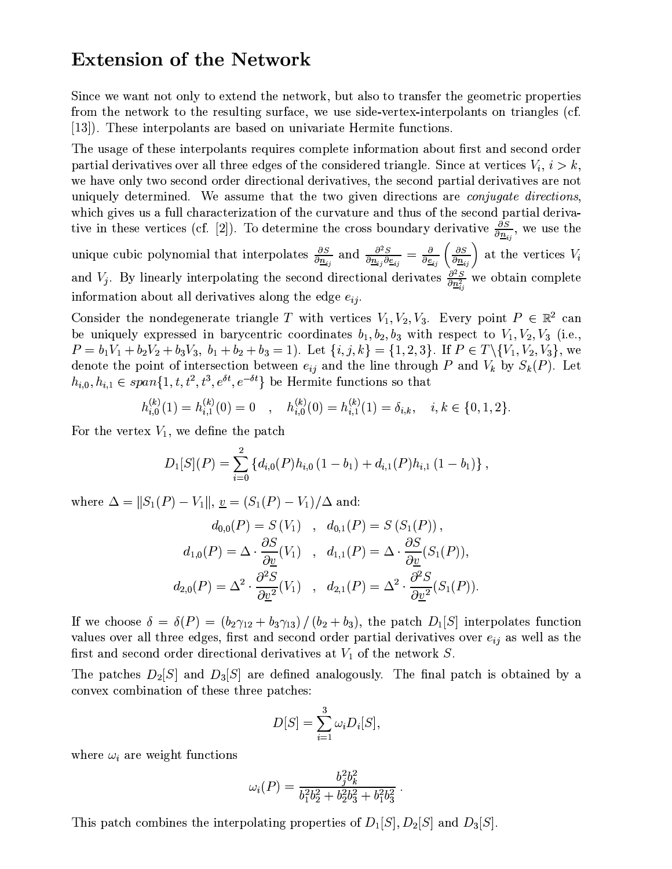#### **Extension of the Network**

Since we want not only to extend the network, but also to transfer the geometric properties from the network to the resulting surface, we use side-vertex-interpolants on triangles (cf. [13]). These interpolants are based on univariate Hermite functions.

The usage of these interpolants requires complete information about first and second order partial derivatives over all three edges of the considered triangle. Since at vertices  $V_i$ ,  $i > k$ , we have only two second order directional derivatives, the second partial derivatives are not uniquely determined. We assume that the two given directions are *conjugate directions*, which gives us a full characterization of the curvature and thus of the second partial derivative in these vertices (cf. [2]). To determine the cross boundary derivative  $\frac{\partial S}{\partial n_{ij}}$ , we use the unique cubic polynomial that interpolates  $\frac{\partial S}{\partial \underline{n}_{ij}}$  and  $\frac{\partial^2 S}{\partial \underline{n}_{ij} \partial \underline{e}_{ij}} = \frac{\partial}{\partial \underline{e}_{ij}} \left( \frac{\partial S}{\partial \underline{n}_{ij}} \right)$  at the vertices  $V_i$ and  $V_j$ . By linearly interpolating the second directional derivates  $\frac{\partial^2 S}{\partial n_{ij}^2}$  we obtain complete information about all derivatives along the edge  $e_{ii}$ .

Consider the nondegenerate triangle T with vertices  $V_1, V_2, V_3$ . Every point  $P \in \mathbb{R}^2$  can be uniquely expressed in barycentric coordinates  $b_1, b_2, b_3$  with respect to  $V_1, V_2, V_3$  (i.e.,  $P = b_1V_1 + b_2V_2 + b_3V_3$ ,  $b_1 + b_2 + b_3 = 1$ . Let  $\{i, j, k\} = \{1, 2, 3\}$ . If  $P \in T \setminus \{V_1, V_2, V_3\}$ , we denote the point of intersection between  $e_{ij}$  and the line through P and  $V_k$  by  $S_k(P)$ . Let  $h_{i,0}, h_{i,1} \in span\{1, t, t^2, t^3, e^{\delta t}, e^{-\delta t}\}\$ be Hermite functions so that

$$
h_{i,0}^{(k)}(1) = h_{i,1}^{(k)}(0) = 0 \quad , \quad h_{i,0}^{(k)}(0) = h_{i,1}^{(k)}(1) = \delta_{i,k}, \quad i, k \in \{0, 1, 2\}.
$$

For the vertex  $V_1$ , we define the patch

$$
D_1[S](P) = \sum_{i=0}^{2} \{d_{i,0}(P)h_{i,0}(1-b_1) + d_{i,1}(P)h_{i,1}(1-b_1)\}
$$

where  $\Delta = ||S_1(P) - V_1||$ ,  $\underline{v} = (S_1(P) - V_1)/\Delta$  and:

$$
d_{0,0}(P) = S(V_1) , d_{0,1}(P) = S(S_1(P)),
$$
  
\n
$$
d_{1,0}(P) = \Delta \cdot \frac{\partial S}{\partial \underline{v}}(V_1) , d_{1,1}(P) = \Delta \cdot \frac{\partial S}{\partial \underline{v}}(S_1(P)),
$$
  
\n
$$
d_{2,0}(P) = \Delta^2 \cdot \frac{\partial^2 S}{\partial \underline{v}^2}(V_1) , d_{2,1}(P) = \Delta^2 \cdot \frac{\partial^2 S}{\partial \underline{v}^2}(S_1(P))
$$

If we choose  $\delta = \delta(P) = (b_2 \gamma_{12} + b_3 \gamma_{13})/(b_2 + b_3)$ , the patch  $D_1[S]$  interpolates function values over all three edges, first and second order partial derivatives over  $e_{ij}$  as well as the first and second order directional derivatives at  $V_1$  of the network S.

The patches  $D_2[S]$  and  $D_3[S]$  are defined analogously. The final patch is obtained by a convex combination of these three patches:

$$
D[S] = \sum_{i=1}^{3} \omega_i D_i[S],
$$

where  $\omega_i$  are weight functions

$$
\omega_i(P) = \frac{b_j^2 b_k^2}{b_1^2 b_2^2 + b_2^2 b_3^2 + b_1^2 b_3^2}
$$

This patch combines the interpolating properties of  $D_1[S], D_2[S]$  and  $D_3[S]$ .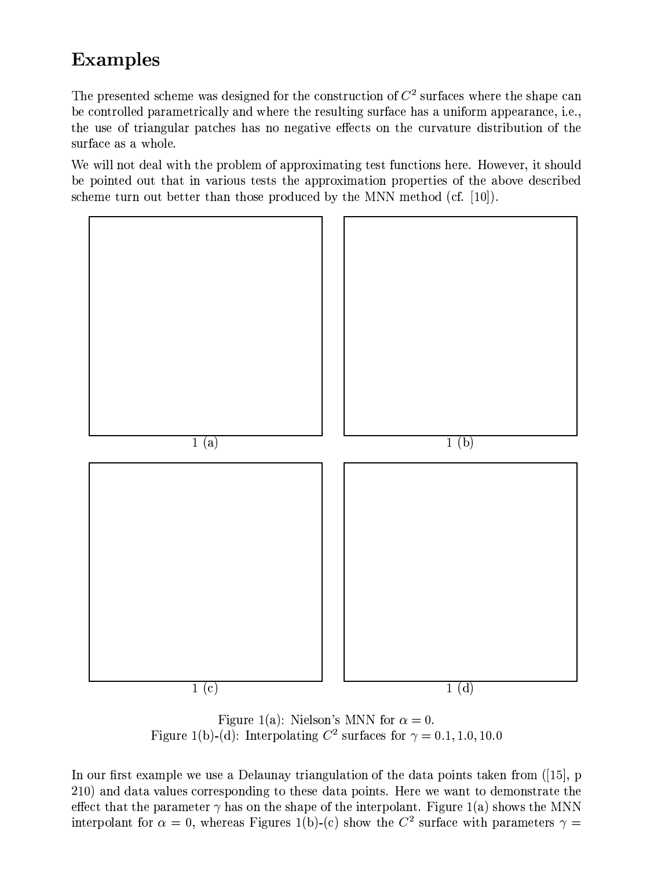# **Examples**

The presented scheme was designed for the construction of  $C<sup>2</sup>$  surfaces where the shape can be controlled parametrically and where the resulting surface has a uniform appearance, i.e., the use of triangular patches has no negative effects on the curvature distribution of the surface as a whole.

We will not deal with the problem of approximating test functions here. However, it should be pointed out that in various tests the approximation properties of the above described scheme turn out better than those produced by the MNN method (cf.  $[10]$ ).



Figure 1(a): Nielson's MNN for  $\alpha = 0$ . Figure 1(b)-(d): Interpolating  $C^2$  surfaces for  $\gamma = 0.1, 1.0, 10.0$ 

In our first example we use a Delaunay triangulation of the data points taken from  $(15)$ , p 210) and data values corresponding to these data points. Here we want to demonstrate the effect that the parameter  $\gamma$  has on the shape of the interpolant. Figure 1(a) shows the MNN interpolant for  $\alpha = 0$ , whereas Figures 1(b)-(c) show the  $C^2$  surface with parameters  $\gamma =$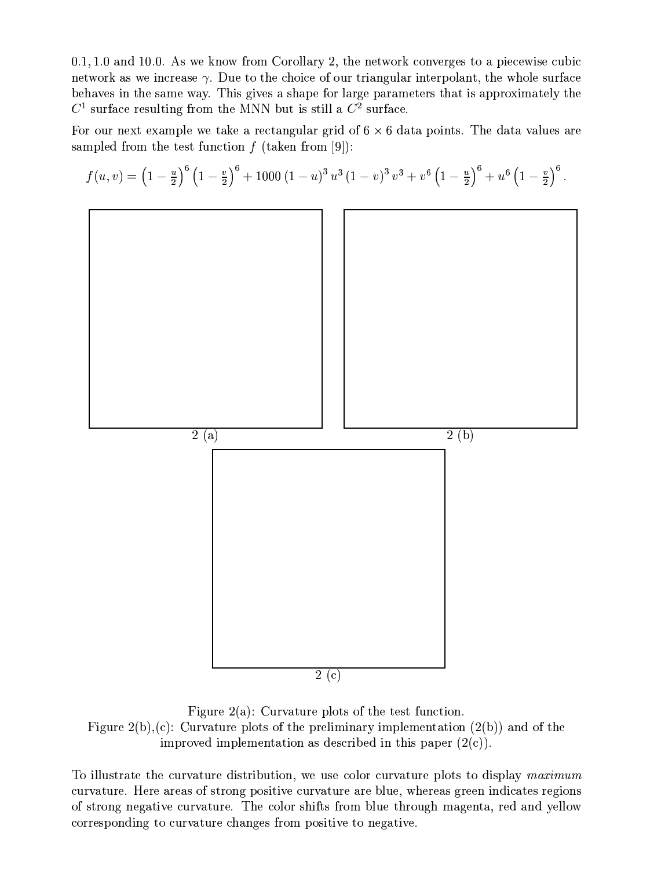$0.1, 1.0$  and 10.0. As we know from Corollary 2, the network converges to a piecewise cubic network as we increase  $\gamma$ . Due to the choice of our triangular interpolant, the whole surface behaves in the same way. This gives a shape for large parameters that is approximately the  $C<sup>1</sup>$  surface resulting from the MNN but is still a  $C<sup>2</sup>$  surface.

For our next example we take a rectangular grid of  $6 \times 6$  data points. The data values are sampled from the test function  $f$  (taken from [9]):



Figure 2(a): Curvature plots of the test function. Figure 2(b),(c): Curvature plots of the preliminary implementation  $(2(b))$  and of the improved implementation as described in this paper  $(2(c))$ .

To illustrate the curvature distribution, we use color curvature plots to display maximum curvature. Here areas of strong positive curvature are blue, whereas green indicates regions of strong negative curvature. The color shifts from blue through magenta, red and yellow corresponding to curvature changes from positive to negative.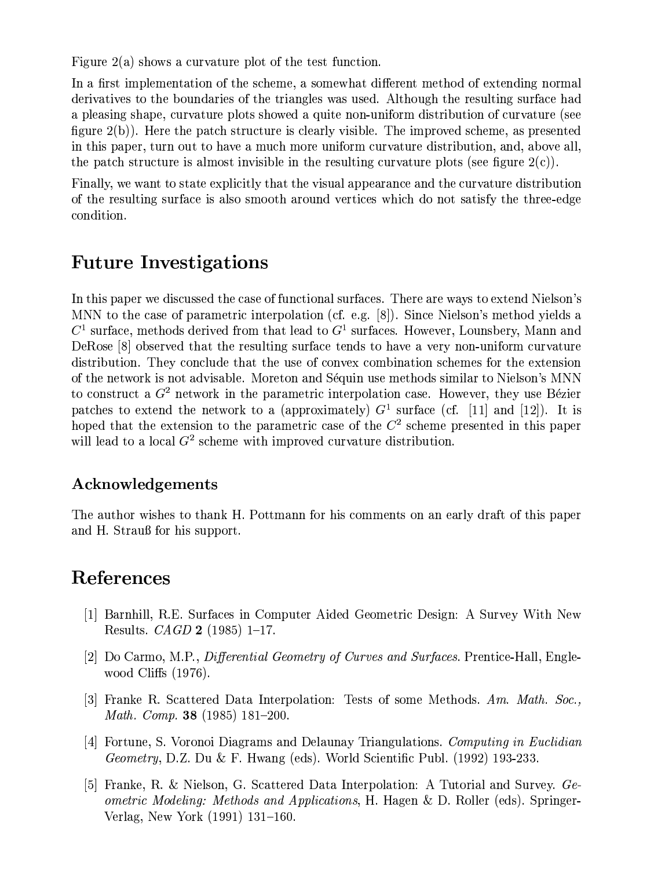Figure 2(a) shows a curvature plot of the test function.

In a first implementation of the scheme, a somewhat different method of extending normal derivatives to the boundaries of the triangles was used. Although the resulting surface had a pleasing shape, curvature plots showed a quite non-uniform distribution of curvature (see figure  $2(b)$ ). Here the patch structure is clearly visible. The improved scheme, as presented in this paper, turn out to have a much more uniform curvature distribution, and, above all. the patch structure is almost invisible in the resulting curvature plots (see figure  $2(c)$ ).

Finally, we want to state explicitly that the visual appearance and the curvature distribution of the resulting surface is also smooth around vertices which do not satisfy the three-edge condition.

### **Future Investigations**

In this paper we discussed the case of functional surfaces. There are ways to extend Nielson's MNN to the case of parametric interpolation (cf. e.g. [8]). Since Nielson's method yields a  $C<sup>1</sup>$  surface, methods derived from that lead to  $G<sup>1</sup>$  surfaces. However, Lounsbery, Mann and DeRose [8] observed that the resulting surface tends to have a very non-uniform curvature distribution. They conclude that the use of convex combination schemes for the extension of the network is not advisable. Moreton and Séquin use methods similar to Nielson's MNN to construct a  $G<sup>2</sup>$  network in the parametric interpolation case. However, they use Bézier patches to extend the network to a (approximately)  $G<sup>1</sup>$  surface (cf. [11] and [12]). It is hoped that the extension to the parametric case of the  $C<sup>2</sup>$  scheme presented in this paper will lead to a local  $G^2$  scheme with improved curvature distribution.

#### Acknowledgements

The author wishes to thank H. Pottmann for his comments on an early draft of this paper and H. Strauß for his support.

## References

- [1] Barnhill, R.E. Surfaces in Computer Aided Geometric Design: A Survey With New Results. *CAGD* **2** (1985) 1-17.
- [2] Do Carmo, M.P., *Differential Geometry of Curves and Surfaces*. Prentice-Hall, Englewood Cliffs  $(1976)$ .
- [3] Franke R. Scattered Data Interpolation: Tests of some Methods. Am. Math. Soc., *Math. Comp.* **38** (1985) 181-200.
- [4] Fortune, S. Voronoi Diagrams and Delaunay Triangulations. Computing in Euclidian *Geometry*, D.Z. Du & F. Hwang (eds). World Scientific Publ. (1992) 193-233.
- [5] Franke, R. & Nielson, G. Scattered Data Interpolation: A Tutorial and Survey. Geometric Modeling: Methods and Applications, H. Hagen & D. Roller (eds). Springer-Verlag, New York (1991) 131–160.